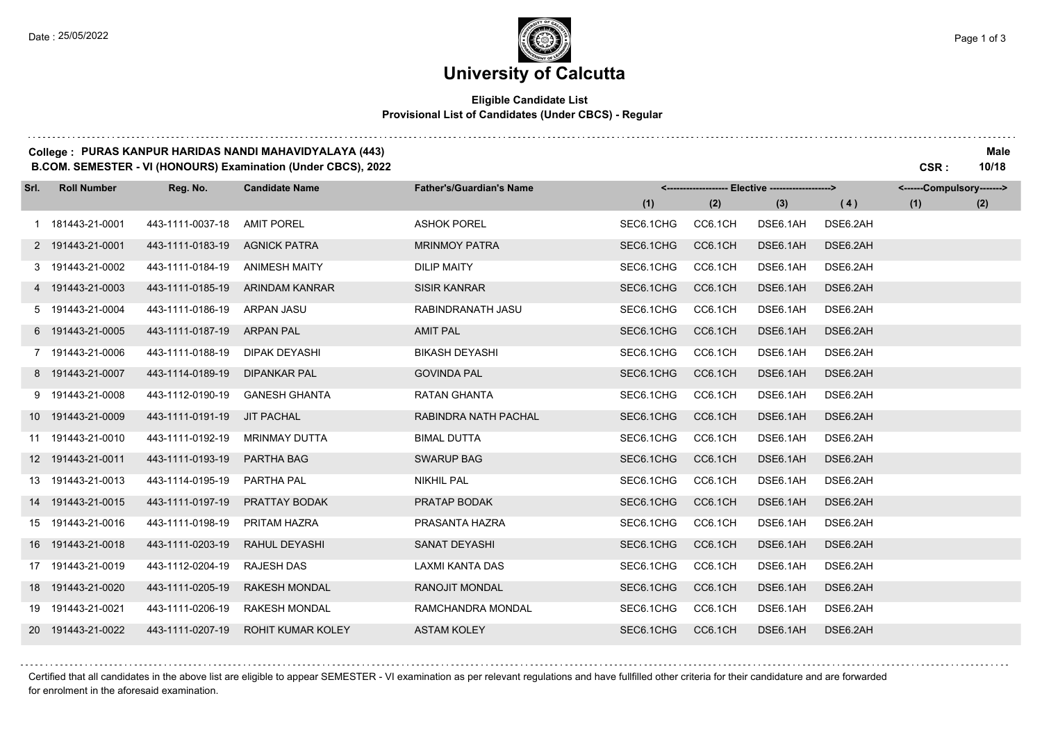and a strategic and

# **University of Calcutta**

## **Eligible Candidate List Provisional List of Candidates (Under CBCS) - Regular**

## **College : PURAS KANPUR HARIDAS NANDI MAHAVIDYALAYA (443) Male**

**B.COM. SEMESTER - VI (HONOURS) Examination (Under CBCS), 2022 CSR : 10/18**

| Srl. | <b>Roll Number</b> | Reg. No.         | <b>Candidate Name</b> | <b>Father's/Guardian's Name</b> |           | <------------------- Elective ------------------> |          |          | <------Compulsory-------> |     |  |
|------|--------------------|------------------|-----------------------|---------------------------------|-----------|---------------------------------------------------|----------|----------|---------------------------|-----|--|
|      |                    |                  |                       |                                 | (1)       | (2)                                               | (3)      | (4)      | (1)                       | (2) |  |
|      | 1 181443-21-0001   | 443-1111-0037-18 | <b>AMIT POREL</b>     | <b>ASHOK POREL</b>              | SEC6.1CHG | CC6.1CH                                           | DSE6.1AH | DSE6.2AH |                           |     |  |
|      | 2 191443-21-0001   | 443-1111-0183-19 | <b>AGNICK PATRA</b>   | <b>MRINMOY PATRA</b>            | SEC6.1CHG | CC6.1CH                                           | DSE6.1AH | DSE6.2AH |                           |     |  |
|      | 3 191443-21-0002   | 443-1111-0184-19 | <b>ANIMESH MAITY</b>  | <b>DILIP MAITY</b>              | SEC6.1CHG | CC6.1CH                                           | DSE6.1AH | DSE6.2AH |                           |     |  |
|      | 4 191443-21-0003   | 443-1111-0185-19 | ARINDAM KANRAR        | <b>SISIR KANRAR</b>             | SEC6.1CHG | CC6.1CH                                           | DSE6.1AH | DSE6.2AH |                           |     |  |
|      | 5 191443-21-0004   | 443-1111-0186-19 | ARPAN JASU            | RABINDRANATH JASU               | SEC6.1CHG | CC6.1CH                                           | DSE6.1AH | DSE6.2AH |                           |     |  |
|      | 6 191443-21-0005   | 443-1111-0187-19 | <b>ARPAN PAL</b>      | <b>AMIT PAL</b>                 | SEC6.1CHG | CC6.1CH                                           | DSE6.1AH | DSE6.2AH |                           |     |  |
|      | 7 191443-21-0006   | 443-1111-0188-19 | DIPAK DEYASHI         | <b>BIKASH DEYASHI</b>           | SEC6.1CHG | CC6.1CH                                           | DSE6.1AH | DSE6.2AH |                           |     |  |
|      | 8 191443-21-0007   | 443-1114-0189-19 | <b>DIPANKAR PAL</b>   | <b>GOVINDA PAL</b>              | SEC6.1CHG | CC6.1CH                                           | DSE6.1AH | DSE6.2AH |                           |     |  |
|      | 9 191443-21-0008   | 443-1112-0190-19 | <b>GANESH GHANTA</b>  | <b>RATAN GHANTA</b>             | SEC6.1CHG | CC6.1CH                                           | DSE6.1AH | DSE6.2AH |                           |     |  |
|      | 10 191443-21-0009  | 443-1111-0191-19 | <b>JIT PACHAL</b>     | RABINDRA NATH PACHAL            | SEC6.1CHG | CC6.1CH                                           | DSE6.1AH | DSE6.2AH |                           |     |  |
|      | 11 191443-21-0010  | 443-1111-0192-19 | <b>MRINMAY DUTTA</b>  | <b>BIMAL DUTTA</b>              | SEC6.1CHG | CC6.1CH                                           | DSE6.1AH | DSE6.2AH |                           |     |  |
|      | 12 191443-21-0011  | 443-1111-0193-19 | PARTHA BAG            | <b>SWARUP BAG</b>               | SEC6.1CHG | CC6.1CH                                           | DSE6.1AH | DSE6.2AH |                           |     |  |
|      | 13 191443-21-0013  | 443-1114-0195-19 | PARTHA PAL            | <b>NIKHIL PAL</b>               | SEC6.1CHG | CC6.1CH                                           | DSE6.1AH | DSE6.2AH |                           |     |  |
|      | 14 191443-21-0015  | 443-1111-0197-19 | PRATTAY BODAK         | PRATAP BODAK                    | SEC6.1CHG | CC6.1CH                                           | DSE6.1AH | DSE6.2AH |                           |     |  |
|      | 15 191443-21-0016  | 443-1111-0198-19 | PRITAM HAZRA          | PRASANTA HAZRA                  | SEC6.1CHG | CC6.1CH                                           | DSE6.1AH | DSE6.2AH |                           |     |  |
|      | 16 191443-21-0018  | 443-1111-0203-19 | RAHUL DEYASHI         | SANAT DEYASHI                   | SEC6.1CHG | CC6.1CH                                           | DSE6.1AH | DSE6.2AH |                           |     |  |
|      | 17 191443-21-0019  | 443-1112-0204-19 | <b>RAJESH DAS</b>     | LAXMI KANTA DAS                 | SEC6.1CHG | CC6.1CH                                           | DSE6.1AH | DSE6.2AH |                           |     |  |
|      | 18 191443-21-0020  | 443-1111-0205-19 | <b>RAKESH MONDAL</b>  | <b>RANOJIT MONDAL</b>           | SEC6.1CHG | CC6.1CH                                           | DSE6.1AH | DSE6.2AH |                           |     |  |
|      | 19 191443-21-0021  | 443-1111-0206-19 | <b>RAKESH MONDAL</b>  | RAMCHANDRA MONDAL               | SEC6.1CHG | CC6.1CH                                           | DSE6.1AH | DSE6.2AH |                           |     |  |
|      | 20 191443-21-0022  | 443-1111-0207-19 | ROHIT KUMAR KOLEY     | <b>ASTAM KOLEY</b>              | SEC6.1CHG | CC6.1CH                                           | DSE6.1AH | DSE6.2AH |                           |     |  |

Certified that all candidates in the above list are eligible to appear SEMESTER - VI examination as per relevant regulations and have fullfilled other criteria for their candidature and are forwarded for enrolment in the aforesaid examination.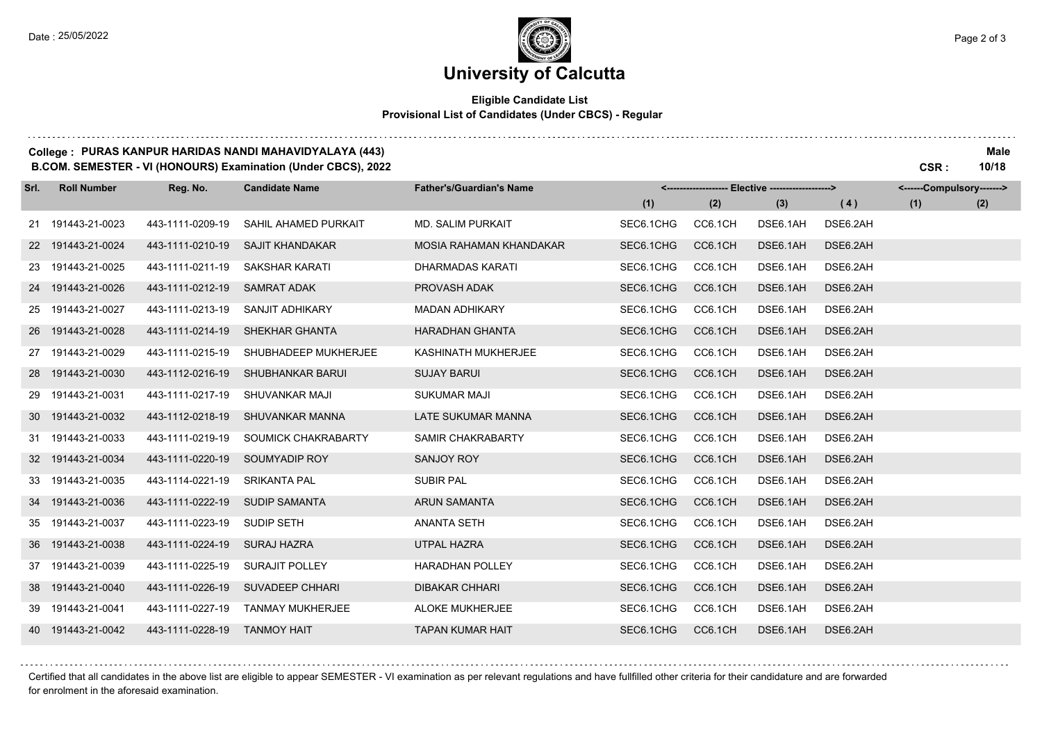. . . . . . . .

# **University of Calcutta**

## **Eligible Candidate List Provisional List of Candidates (Under CBCS) - Regular**

#### **College : PURAS KANPUR HARIDAS NANDI MAHAVIDYALAYA (443) Male**

**B.COM. SEMESTER - VI (HONOURS) Examination (Under CBCS), 2022 CSR : 10/18**

| Srl. | <b>Roll Number</b> | Reg. No.         | <b>Candidate Name</b>   | <b>Father's/Guardian's Name</b> |           | <------------------- Elective -------------------> |          |          | <------Compulsory-------> |     |  |
|------|--------------------|------------------|-------------------------|---------------------------------|-----------|----------------------------------------------------|----------|----------|---------------------------|-----|--|
|      |                    |                  |                         |                                 | (1)       | (2)                                                | (3)      | (4)      | (1)                       | (2) |  |
|      | 21 191443-21-0023  | 443-1111-0209-19 | SAHIL AHAMED PURKAIT    | <b>MD. SALIM PURKAIT</b>        | SEC6.1CHG | CC6.1CH                                            | DSE6.1AH | DSE6.2AH |                           |     |  |
|      | 22 191443-21-0024  | 443-1111-0210-19 | <b>SAJIT KHANDAKAR</b>  | MOSIA RAHAMAN KHANDAKAR         | SEC6.1CHG | CC6.1CH                                            | DSE6.1AH | DSE6.2AH |                           |     |  |
|      | 23 191443-21-0025  | 443-1111-0211-19 | SAKSHAR KARATI          | DHARMADAS KARATI                | SEC6.1CHG | CC6.1CH                                            | DSE6.1AH | DSE6.2AH |                           |     |  |
|      | 24 191443-21-0026  | 443-1111-0212-19 | <b>SAMRAT ADAK</b>      | PROVASH ADAK                    | SEC6.1CHG | CC6.1CH                                            | DSE6.1AH | DSE6.2AH |                           |     |  |
|      | 25 191443-21-0027  | 443-1111-0213-19 | SANJIT ADHIKARY         | <b>MADAN ADHIKARY</b>           | SEC6.1CHG | CC6.1CH                                            | DSE6.1AH | DSE6.2AH |                           |     |  |
|      | 26 191443-21-0028  | 443-1111-0214-19 | SHEKHAR GHANTA          | <b>HARADHAN GHANTA</b>          | SEC6.1CHG | CC6.1CH                                            | DSE6.1AH | DSE6.2AH |                           |     |  |
|      | 27 191443-21-0029  | 443-1111-0215-19 | SHUBHADEEP MUKHERJEE    | KASHINATH MUKHERJEE             | SEC6.1CHG | CC6.1CH                                            | DSE6.1AH | DSE6.2AH |                           |     |  |
|      | 28 191443-21-0030  | 443-1112-0216-19 | SHUBHANKAR BARUI        | <b>SUJAY BARUI</b>              | SEC6.1CHG | CC6.1CH                                            | DSE6.1AH | DSE6.2AH |                           |     |  |
| 29   | 191443-21-0031     | 443-1111-0217-19 | <b>SHUVANKAR MAJI</b>   | <b>SUKUMAR MAJI</b>             | SEC6.1CHG | CC6.1CH                                            | DSE6.1AH | DSE6.2AH |                           |     |  |
|      | 30 191443-21-0032  | 443-1112-0218-19 | SHUVANKAR MANNA         | LATE SUKUMAR MANNA              | SEC6.1CHG | CC6.1CH                                            | DSE6.1AH | DSE6.2AH |                           |     |  |
|      | 31 191443-21-0033  | 443-1111-0219-19 | SOUMICK CHAKRABARTY     | SAMIR CHAKRABARTY               | SEC6.1CHG | CC6.1CH                                            | DSE6.1AH | DSE6.2AH |                           |     |  |
|      | 32 191443-21-0034  | 443-1111-0220-19 | SOUMYADIP ROY           | SANJOY ROY                      | SEC6.1CHG | CC6.1CH                                            | DSE6.1AH | DSE6.2AH |                           |     |  |
|      | 33 191443-21-0035  | 443-1114-0221-19 | <b>SRIKANTA PAL</b>     | <b>SUBIR PAL</b>                | SEC6.1CHG | CC6.1CH                                            | DSE6.1AH | DSE6.2AH |                           |     |  |
|      | 34 191443-21-0036  | 443-1111-0222-19 | <b>SUDIP SAMANTA</b>    | <b>ARUN SAMANTA</b>             | SEC6.1CHG | CC6.1CH                                            | DSE6.1AH | DSE6.2AH |                           |     |  |
|      | 35 191443-21-0037  | 443-1111-0223-19 | <b>SUDIP SETH</b>       | <b>ANANTA SETH</b>              | SEC6.1CHG | CC6.1CH                                            | DSE6.1AH | DSE6.2AH |                           |     |  |
|      | 36 191443-21-0038  | 443-1111-0224-19 | <b>SURAJ HAZRA</b>      | UTPAL HAZRA                     | SEC6.1CHG | CC6.1CH                                            | DSE6.1AH | DSE6.2AH |                           |     |  |
|      | 37 191443-21-0039  | 443-1111-0225-19 | <b>SURAJIT POLLEY</b>   | <b>HARADHAN POLLEY</b>          | SEC6.1CHG | CC6.1CH                                            | DSE6.1AH | DSE6.2AH |                           |     |  |
|      | 38 191443-21-0040  | 443-1111-0226-19 | <b>SUVADEEP CHHARI</b>  | <b>DIBAKAR CHHARI</b>           | SEC6.1CHG | CC6.1CH                                            | DSE6.1AH | DSE6.2AH |                           |     |  |
|      | 39 191443-21-0041  | 443-1111-0227-19 | <b>TANMAY MUKHERJEE</b> | ALOKE MUKHERJEE                 | SEC6.1CHG | CC6.1CH                                            | DSE6.1AH | DSE6.2AH |                           |     |  |
|      | 40 191443-21-0042  | 443-1111-0228-19 | <b>TANMOY HAIT</b>      | <b>TAPAN KUMAR HAIT</b>         | SEC6.1CHG | CC6.1CH                                            | DSE6.1AH | DSE6.2AH |                           |     |  |

Certified that all candidates in the above list are eligible to appear SEMESTER - VI examination as per relevant regulations and have fullfilled other criteria for their candidature and are forwarded for enrolment in the aforesaid examination.